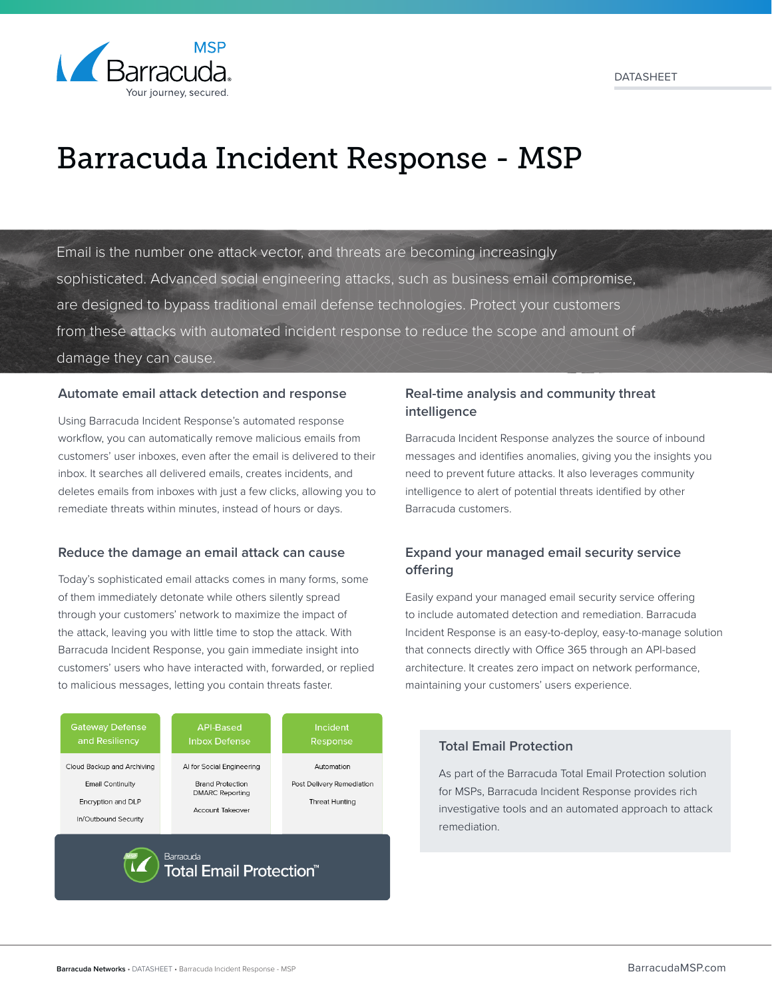

# Barracuda Incident Response - MSP

Email is the number one attack vector, and threats are becoming increasingly sophisticated. Advanced social engineering attacks, such as business email compromise, are designed to bypass traditional email defense technologies. Protect your customers from these attacks with automated incident response to reduce the scope and amount of damage they can cause.

## **Automate email attack detection and response**

Using Barracuda Incident Response's automated response workflow, you can automatically remove malicious emails from customers' user inboxes, even after the email is delivered to their inbox. It searches all delivered emails, creates incidents, and deletes emails from inboxes with just a few clicks, allowing you to remediate threats within minutes, instead of hours or days.

#### **Reduce the damage an email attack can cause**

Today's sophisticated email attacks comes in many forms, some of them immediately detonate while others silently spread through your customers' network to maximize the impact of the attack, leaving you with little time to stop the attack. With Barracuda Incident Response, you gain immediate insight into customers' users who have interacted with, forwarded, or replied to malicious messages, letting you contain threats faster.



# **Real-time analysis and community threat intelligence**

Barracuda Incident Response analyzes the source of inbound messages and identifies anomalies, giving you the insights you need to prevent future attacks. It also leverages community intelligence to alert of potential threats identified by other Barracuda customers.

# **Expand your managed email security service offering**

Easily expand your managed email security service offering to include automated detection and remediation. Barracuda Incident Response is an easy-to-deploy, easy-to-manage solution that connects directly with Office 365 through an API-based architecture. It creates zero impact on network performance, maintaining your customers' users experience.

## **Total Email Protection**

As part of the Barracuda Total Email Protection solution for MSPs, Barracuda Incident Response provides rich investigative tools and an automated approach to attack remediation.